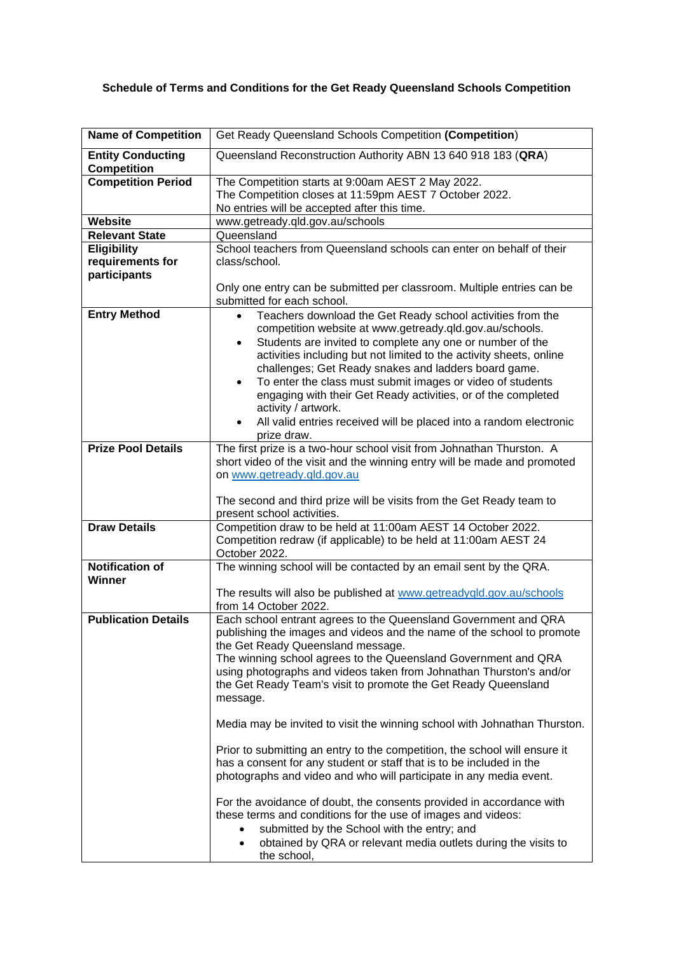## **Schedule of Terms and Conditions for the Get Ready Queensland Schools Competition**

| <b>Name of Competition</b>                     | Get Ready Queensland Schools Competition (Competition)                                                                                                                                                                                                                                                                                                                                                                                                                                                                                                                       |
|------------------------------------------------|------------------------------------------------------------------------------------------------------------------------------------------------------------------------------------------------------------------------------------------------------------------------------------------------------------------------------------------------------------------------------------------------------------------------------------------------------------------------------------------------------------------------------------------------------------------------------|
| <b>Entity Conducting</b><br><b>Competition</b> | Queensland Reconstruction Authority ABN 13 640 918 183 (QRA)                                                                                                                                                                                                                                                                                                                                                                                                                                                                                                                 |
| <b>Competition Period</b>                      | The Competition starts at 9:00am AEST 2 May 2022.<br>The Competition closes at 11:59pm AEST 7 October 2022.                                                                                                                                                                                                                                                                                                                                                                                                                                                                  |
|                                                | No entries will be accepted after this time.                                                                                                                                                                                                                                                                                                                                                                                                                                                                                                                                 |
| Website                                        | www.getready.qld.gov.au/schools                                                                                                                                                                                                                                                                                                                                                                                                                                                                                                                                              |
| <b>Relevant State</b>                          | Queensland                                                                                                                                                                                                                                                                                                                                                                                                                                                                                                                                                                   |
| Eligibility                                    | School teachers from Queensland schools can enter on behalf of their                                                                                                                                                                                                                                                                                                                                                                                                                                                                                                         |
| requirements for                               | class/school.                                                                                                                                                                                                                                                                                                                                                                                                                                                                                                                                                                |
| participants                                   | Only one entry can be submitted per classroom. Multiple entries can be<br>submitted for each school.                                                                                                                                                                                                                                                                                                                                                                                                                                                                         |
| <b>Entry Method</b>                            | Teachers download the Get Ready school activities from the<br>$\bullet$<br>competition website at www.getready.qld.gov.au/schools.<br>Students are invited to complete any one or number of the<br>٠<br>activities including but not limited to the activity sheets, online<br>challenges; Get Ready snakes and ladders board game.<br>To enter the class must submit images or video of students<br>$\bullet$<br>engaging with their Get Ready activities, or of the completed<br>activity / artwork.<br>All valid entries received will be placed into a random electronic |
|                                                | prize draw.                                                                                                                                                                                                                                                                                                                                                                                                                                                                                                                                                                  |
| <b>Prize Pool Details</b>                      | The first prize is a two-hour school visit from Johnathan Thurston. A<br>short video of the visit and the winning entry will be made and promoted<br>on www.getready.qld.gov.au<br>The second and third prize will be visits from the Get Ready team to<br>present school activities.                                                                                                                                                                                                                                                                                        |
| <b>Draw Details</b>                            | Competition draw to be held at 11:00am AEST 14 October 2022.                                                                                                                                                                                                                                                                                                                                                                                                                                                                                                                 |
|                                                | Competition redraw (if applicable) to be held at 11:00am AEST 24<br>October 2022.                                                                                                                                                                                                                                                                                                                                                                                                                                                                                            |
| <b>Notification of</b>                         | The winning school will be contacted by an email sent by the QRA.                                                                                                                                                                                                                                                                                                                                                                                                                                                                                                            |
| <b>Winner</b>                                  | The results will also be published at www.getreadyqld.gov.au/schools<br>from 14 October 2022.                                                                                                                                                                                                                                                                                                                                                                                                                                                                                |
| <b>Publication Details</b>                     | Each school entrant agrees to the Queensland Government and QRA<br>publishing the images and videos and the name of the school to promote<br>the Get Ready Queensland message.<br>The winning school agrees to the Queensland Government and QRA<br>using photographs and videos taken from Johnathan Thurston's and/or<br>the Get Ready Team's visit to promote the Get Ready Queensland<br>message.<br>Media may be invited to visit the winning school with Johnathan Thurston.                                                                                           |
|                                                | Prior to submitting an entry to the competition, the school will ensure it<br>has a consent for any student or staff that is to be included in the<br>photographs and video and who will participate in any media event.                                                                                                                                                                                                                                                                                                                                                     |
|                                                | For the avoidance of doubt, the consents provided in accordance with<br>these terms and conditions for the use of images and videos:<br>submitted by the School with the entry; and<br>obtained by QRA or relevant media outlets during the visits to<br>$\bullet$<br>the school,                                                                                                                                                                                                                                                                                            |